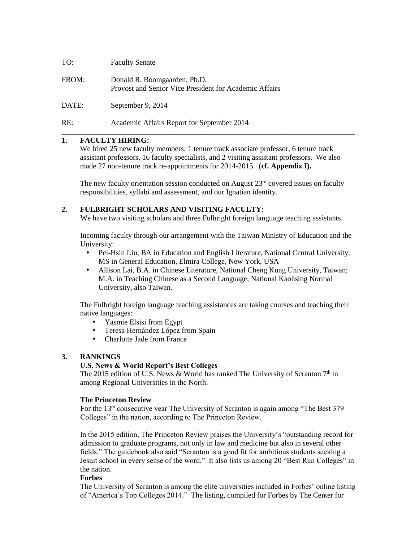| TO: | <b>Faculty Senate</b> |
|-----|-----------------------|
|     |                       |

| FROM: | Donald R. Boomgaarden, Ph.D.                           |
|-------|--------------------------------------------------------|
|       | Provost and Senior Vice President for Academic Affairs |

DATE: September 9, 2014

RE: Academic Affairs Report for September 2014

#### **1. FACULTY HIRING:**

We hired 25 new faculty members; 1 tenure track associate professor, 6 tenure track assistant professors, 16 faculty specialists, and 2 visiting assistant professors. We also made 27 non-tenure track re-appointments for 2014-2015. (**cf. Appendix I).**

\_\_\_\_\_\_\_\_\_\_\_\_\_\_\_\_\_\_\_\_\_\_\_\_\_\_\_\_\_\_\_\_\_\_\_\_\_\_\_\_\_\_\_\_\_\_\_\_\_\_\_\_\_\_\_\_\_\_\_\_\_\_\_\_\_\_\_\_\_\_\_\_\_\_\_\_\_\_

The new faculty orientation session conducted on August  $23<sup>rd</sup>$  covered issues on faculty responsibilities, syllabi and assessment, and our Ignatian identity.

#### **2. FULBRIGHT SCHOLARS AND VISITING FACULTY:**

We have two visiting scholars and three Fulbright foreign language teaching assistants.

Incoming faculty through our arrangement with the Taiwan Ministry of Education and the University:

- Pei-Hsin Liu, BA in Education and English Literature, National Central University; MS in General Education, Elmira College, New York, USA
- Allison Lai, B.A. in Chinese Literature, National Cheng Kung University, Taiwan; M.A. in Teaching Chinese as a Second Language, National Kaohsing Normal University, also Taiwan.

The Fulbright foreign language teaching assistances are taking courses and teaching their native languages:

- Yasmie Elsisi from Egypt
- Teresa Hernández López from Spain
- Charlotte Jade from France

#### **3. RANKINGS**

#### **U.S. News & World Report's Best Colleges**

The 2015 edition of U.S. News & World has ranked The University of Scranton  $7<sup>th</sup>$  in among Regional Universities in the North.

#### **The Princeton Review**

For the 13<sup>th</sup> consecutive year The University of Scranton is again among "The Best 379" Colleges" in the nation, according to The Princeton Review.

In the 2015 edition, The Princeton Review praises the University's "outstanding record for admission to graduate programs, not only in law and medicine but also in several other fields." The guidebook also said "Scranton is a good fit for ambitious students seeking a Jesuit school in every sense of the word." It also lists us among 20 "Best Run Colleges" in the nation.

#### **Forbes**

The University of Scranton is among the elite universities included in Forbes' online listing of "America's Top Colleges 2014." The listing, compiled for Forbes by The Center for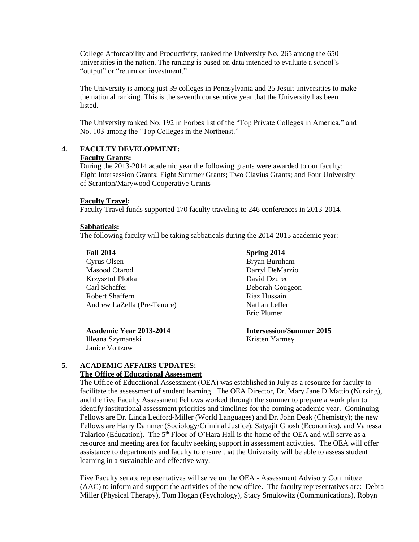College Affordability and Productivity, ranked the University No. 265 among the 650 universities in the nation. The ranking is based on data intended to evaluate a school's "output" or "return on investment."

The University is among just 39 colleges in Pennsylvania and 25 Jesuit universities to make the national ranking. This is the seventh consecutive year that the University has been **listed** 

The University ranked No. 192 in Forbes list of the "Top Private Colleges in America," and No. 103 among the "Top Colleges in the Northeast."

# **4. FACULTY DEVELOPMENT:**

#### **Faculty Grants:**

During the 2013-2014 academic year the following grants were awarded to our faculty: Eight Intersession Grants; Eight Summer Grants; Two Clavius Grants; and Four University of Scranton/Marywood Cooperative Grants

#### **Faculty Travel:**

Faculty Travel funds supported 170 faculty traveling to 246 conferences in 2013-2014.

#### **Sabbaticals:**

The following faculty will be taking sabbaticals during the 2014-2015 academic year:

| <b>Fall 2014</b>            |
|-----------------------------|
| Cyrus Olsen                 |
| Masood Otarod               |
| <b>Krzysztof Plotka</b>     |
| Carl Schaffer               |
| Robert Shaffern             |
| Andrew LaZella (Pre-Tenure) |

**Academic Year 2013-2014** Illeana Szymanski Janice Voltzow

**Spring 2014** Bryan Burnham Darryl DeMarzio David Dzurec Deborah Gougeon Riaz Hussain Nathan Lefler Eric Plumer

**Intersession/Summer 2015** Kristen Yarmey

#### **5. ACADEMIC AFFAIRS UPDATES: The Office of Educational Assessment**

The Office of Educational Assessment (OEA) was established in July as a resource for faculty to facilitate the assessment of student learning. The OEA Director, Dr. Mary Jane DiMattio (Nursing), and the five Faculty Assessment Fellows worked through the summer to prepare a work plan to identify institutional assessment priorities and timelines for the coming academic year. Continuing Fellows are Dr. Linda Ledford-Miller (World Languages) and Dr. John Deak (Chemistry); the new Fellows are Harry Dammer (Sociology/Criminal Justice), Satyajit Ghosh (Economics), and Vanessa Talarico (Education). The 5<sup>th</sup> Floor of O'Hara Hall is the home of the OEA and will serve as a resource and meeting area for faculty seeking support in assessment activities. The OEA will offer assistance to departments and faculty to ensure that the University will be able to assess student learning in a sustainable and effective way.

Five Faculty senate representatives will serve on the OEA - Assessment Advisory Committee (AAC) to inform and support the activities of the new office. The faculty representatives are: Debra Miller (Physical Therapy), Tom Hogan (Psychology), Stacy Smulowitz (Communications), Robyn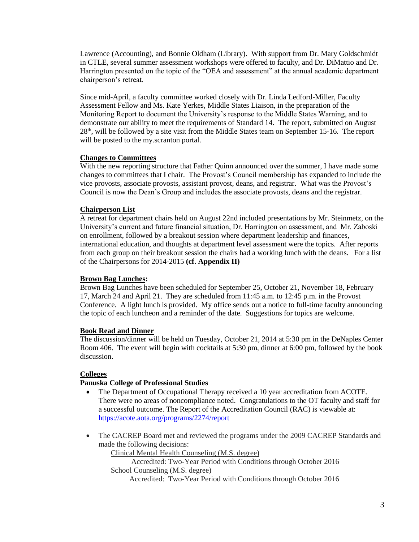Lawrence (Accounting), and Bonnie Oldham (Library). With support from Dr. Mary Goldschmidt in CTLE, several summer assessment workshops were offered to faculty, and Dr. DiMattio and Dr. Harrington presented on the topic of the "OEA and assessment" at the annual academic department chairperson's retreat.

Since mid-April, a faculty committee worked closely with Dr. Linda Ledford-Miller, Faculty Assessment Fellow and Ms. Kate Yerkes, Middle States Liaison, in the preparation of the Monitoring Report to document the University's response to the Middle States Warning, and to demonstrate our ability to meet the requirements of Standard 14. The report, submitted on August  $28<sup>th</sup>$ , will be followed by a site visit from the Middle States team on September 15-16. The report will be posted to the my.scranton portal.

#### **Changes to Committees**

With the new reporting structure that Father Quinn announced over the summer, I have made some changes to committees that I chair. The Provost's Council membership has expanded to include the vice provosts, associate provosts, assistant provost, deans, and registrar. What was the Provost's Council is now the Dean's Group and includes the associate provosts, deans and the registrar.

#### **Chairperson List**

A retreat for department chairs held on August 22nd included presentations by Mr. Steinmetz, on the University's current and future financial situation, Dr. Harrington on assessment, and Mr. Zaboski on enrollment, followed by a breakout session where department leadership and finances, international education, and thoughts at department level assessment were the topics. After reports from each group on their breakout session the chairs had a working lunch with the deans. For a list of the Chairpersons for 2014-2015 **(cf. Appendix II)**

#### **Brown Bag Lunches:**

Brown Bag Lunches have been scheduled for September 25, October 21, November 18, February 17, March 24 and April 21. They are scheduled from 11:45 a.m. to 12:45 p.m. in the Provost Conference. A light lunch is provided. My office sends out a notice to full-time faculty announcing the topic of each luncheon and a reminder of the date. Suggestions for topics are welcome.

#### **Book Read and Dinner**

The discussion/dinner will be held on Tuesday, October 21, 2014 at 5:30 pm in the DeNaples Center Room 406. The event will begin with cocktails at 5:30 pm, dinner at 6:00 pm, followed by the book discussion.

#### **Colleges**

#### **Panuska College of Professional Studies**

- The Department of Occupational Therapy received a 10 year accreditation from ACOTE. There were no areas of noncompliance noted. Congratulations to the OT faculty and staff for a successful outcome. The Report of the Accreditation Council (RAC) is viewable at: <https://acote.aota.org/programs/2274/report>
- The CACREP Board met and reviewed the programs under the 2009 CACREP Standards and made the following decisions:

Clinical Mental Health Counseling (M.S. degree)

Accredited: Two-Year Period with Conditions through October 2016 School Counseling (M.S. degree)

Accredited: Two-Year Period with Conditions through October 2016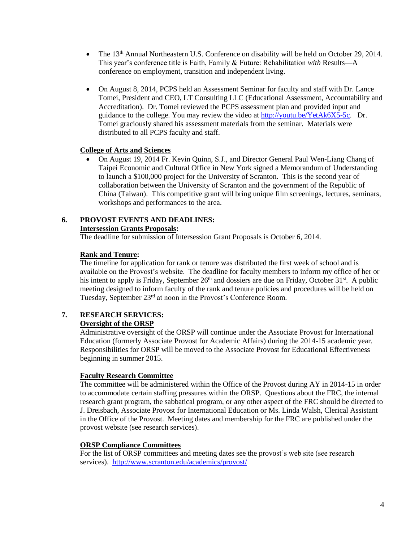- The 13<sup>th</sup> Annual Northeastern U.S. Conference on disability will be held on October 29, 2014. This year's conference title is Faith, Family & Future: Rehabilitation *with* Results—A conference on employment, transition and independent living.
- On August 8, 2014, PCPS held an Assessment Seminar for faculty and staff with Dr. Lance Tomei, President and CEO, LT Consulting LLC (Educational Assessment, Accountability and Accreditation). Dr. Tomei reviewed the PCPS assessment plan and provided input and guidance to the college. You may review the video at [http://youtu.be/YetAk6X5-5c.](http://youtu.be/YetAk6X5-5c) Dr. Tomei graciously shared his assessment materials from the seminar. Materials were distributed to all PCPS faculty and staff.

#### **College of Arts and Sciences**

 On August 19, 2014 Fr. Kevin Quinn, S.J., and Director General Paul Wen-Liang Chang of Taipei Economic and Cultural Office in New York signed a Memorandum of Understanding to launch a \$100,000 project for the University of Scranton. This is the second year of collaboration between the University of Scranton and the government of the Republic of China (Taiwan). This competitive grant will bring unique film screenings, lectures, seminars, workshops and performances to the area.

#### **6. PROVOST EVENTS AND DEADLINES: Intersession Grants Proposals:**

The deadline for submission of Intersession Grant Proposals is October 6, 2014.

#### **Rank and Tenure:**

The timeline for application for rank or tenure was distributed the first week of school and is available on the Provost's website. The deadline for faculty members to inform my office of her or his intent to apply is Friday, September  $26<sup>th</sup>$  and dossiers are due on Friday, October  $31<sup>st</sup>$ . A public meeting designed to inform faculty of the rank and tenure policies and procedures will be held on Tuesday, September 23rd at noon in the Provost's Conference Room.

#### **7. RESEARCH SERVICES: Oversight of the ORSP**

Administrative oversight of the ORSP will continue under the Associate Provost for International Education (formerly Associate Provost for Academic Affairs) during the 2014-15 academic year. Responsibilities for ORSP will be moved to the Associate Provost for Educational Effectiveness beginning in summer 2015.

#### **Faculty Research Committee**

The committee will be administered within the Office of the Provost during AY in 2014-15 in order to accommodate certain staffing pressures within the ORSP. Questions about the FRC, the internal research grant program, the sabbatical program, or any other aspect of the FRC should be directed to J. Dreisbach, Associate Provost for International Education or Ms. Linda Walsh, Clerical Assistant in the Office of the Provost. Meeting dates and membership for the FRC are published under the provost website (see research services).

#### **ORSP Compliance Committees**

For the list of ORSP committees and meeting dates see the provost's web site (see research services). <http://www.scranton.edu/academics/provost/>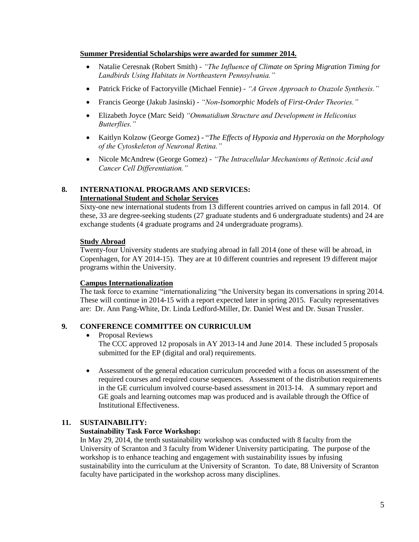#### **Summer Presidential Scholarships were awarded for summer 2014.**

- Natalie Ceresnak (Robert Smith) *"The Influence of Climate on Spring Migration Timing for Landbirds Using Habitats in Northeastern Pennsylvania."*
- Patrick Fricke of Factoryville (Michael Fennie) *- "A Green Approach to Oxazole Synthesis."*
- Francis George (Jakub Jasinski) *"Non-Isomorphic Models of First-Order Theories."*
- Elizabeth Joyce (Marc Seid) *"Ommatidium Structure and Development in Heliconius Butterflies."*
- Kaitlyn Kolzow (George Gomez) "*The Effects of Hypoxia and Hyperoxia on the Morphology of the Cytoskeleton of Neuronal Retina."*
- Nicole McAndrew (George Gomez) *"The Intracellular Mechanisms of Retinoic Acid and Cancer Cell Differentiation."*

#### **8. INTERNATIONAL PROGRAMS AND SERVICES: International Student and Scholar Services**

Sixty-one new international students from 13 different countries arrived on campus in fall 2014. Of these, 33 are degree-seeking students (27 graduate students and 6 undergraduate students) and 24 are exchange students (4 graduate programs and 24 undergraduate programs).

#### **Study Abroad**

Twenty-four University students are studying abroad in fall 2014 (one of these will be abroad, in Copenhagen, for AY 2014-15). They are at 10 different countries and represent 19 different major programs within the University.

#### **Campus Internationalization**

The task force to examine "internationalizing "the University began its conversations in spring 2014. These will continue in 2014-15 with a report expected later in spring 2015. Faculty representatives are: Dr. Ann Pang-White, Dr. Linda Ledford-Miller, Dr. Daniel West and Dr. Susan Trussler.

#### **9. CONFERENCE COMMITTEE ON CURRICULUM**

• Proposal Reviews

The CCC approved 12 proposals in AY 2013-14 and June 2014. These included 5 proposals submitted for the EP (digital and oral) requirements.

 Assessment of the general education curriculum proceeded with a focus on assessment of the required courses and required course sequences. Assessment of the distribution requirements in the GE curriculum involved course-based assessment in 2013-14. A summary report and GE goals and learning outcomes map was produced and is available through the Office of Institutional Effectiveness.

#### **11. SUSTAINABILITY:**

#### **Sustainability Task Force Workshop:**

In May 29, 2014, the tenth sustainability workshop was conducted with 8 faculty from the University of Scranton and 3 faculty from Widener University participating. The purpose of the workshop is to enhance teaching and engagement with sustainability issues by infusing sustainability into the curriculum at the University of Scranton. To date, 88 University of Scranton faculty have participated in the workshop across many disciplines.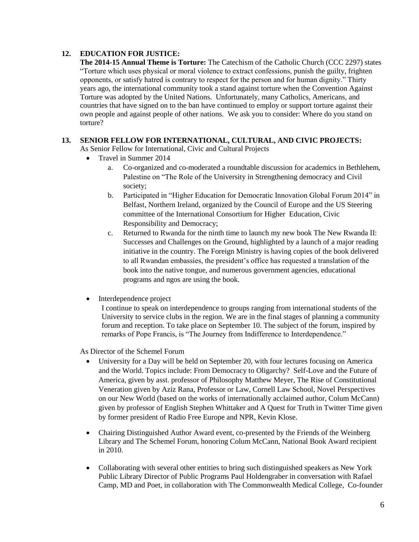### **12. EDUCATION FOR JUSTICE:**

**The 2014-15 Annual Theme is Torture:** The Catechism of the Catholic Church (CCC 2297) states "Torture which uses physical or moral violence to extract confessions, punish the guilty, frighten opponents, or satisfy hatred is contrary to respect for the person and for human dignity." Thirty years ago, the international community took a stand against torture when the Convention Against Torture was adopted by the United Nations. Unfortunately, many Catholics, Americans, and countries that have signed on to the ban have continued to employ or support torture against their own people and against people of other nations. We ask you to consider: Where do you stand on torture?

#### **13. SENIOR FELLOW FOR INTERNATIONAL, CULTURAL, AND CIVIC PROJECTS:**

As Senior Fellow for International, Civic and Cultural Projects

- Travel in Summer 2014
	- a. Co-organized and co-moderated a roundtable discussion for academics in Bethlehem, Palestine on "The Role of the University in Strengthening democracy and Civil society;
	- b. Participated in "Higher Education for Democratic Innovation Global Forum 2014" in Belfast, Northern Ireland, organized by the Council of Europe and the US Steering committee of the International Consortium for Higher Education, Civic Responsibility and Democracy;
	- c. Returned to Rwanda for the ninth time to launch my new book The New Rwanda II: Successes and Challenges on the Ground, highlighted by a launch of a major reading initiative in the country. The Foreign Ministry is having copies of the book delivered to all Rwandan embassies, the president's office has requested a translation of the book into the native tongue, and numerous government agencies, educational programs and ngos are using the book.
- Interdependence project

I continue to speak on interdependence to groups ranging from international students of the University to service clubs in the region. We are in the final stages of planning a community forum and reception. To take place on September 10. The subject of the forum, inspired by remarks of Pope Francis, is "The Journey from Indifference to Interdependence."

As Director of the Schemel Forum

- University for a Day will be held on September 20, with four lectures focusing on America and the World. Topics include: From Democracy to Oligarchy? Self-Love and the Future of America, given by asst. professor of Philosophy Matthew Meyer, The Rise of Constitutional Veneration given by Aziz Rana, Professor or Law, Cornell Law School, Novel Perspectives on our New World (based on the works of internationally acclaimed author, Colum McCann) given by professor of English Stephen Whittaker and A Quest for Truth in Twitter Time given by former president of Radio Free Europe and NPR, Kevin Klose.
- Chairing Distinguished Author Award event, co-presented by the Friends of the Weinberg Library and The Schemel Forum, honoring Colum McCann, National Book Award recipient in 2010.
- Collaborating with several other entities to bring such distinguished speakers as New York Public Library Director of Public Programs Paul Holdengraber in conversation with Rafael Camp, MD and Poet, in collaboration with The Commonwealth Medical College, Co-founder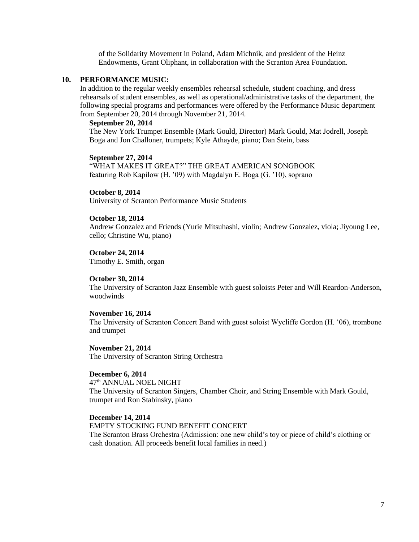of the Solidarity Movement in Poland, Adam Michnik, and president of the Heinz Endowments, Grant Oliphant, in collaboration with the Scranton Area Foundation.

#### **10. PERFORMANCE MUSIC:**

In addition to the regular weekly ensembles rehearsal schedule, student coaching, and dress rehearsals of student ensembles, as well as operational/administrative tasks of the department, the following special programs and performances were offered by the Performance Music department from September 20, 2014 through November 21, 2014.

#### **September 20, 2014**

The New York Trumpet Ensemble (Mark Gould, Director) Mark Gould, Mat Jodrell, Joseph Boga and Jon Challoner, trumpets; Kyle Athayde, piano; Dan Stein, bass

#### **September 27, 2014**

"WHAT MAKES IT GREAT?" THE GREAT AMERICAN SONGBOOK featuring Rob Kapilow (H. '09) with Magdalyn E. Boga (G. '10), soprano

## **October 8, 2014**

University of Scranton Performance Music Students

#### **October 18, 2014**

Andrew Gonzalez and Friends (Yurie Mitsuhashi, violin; Andrew Gonzalez, viola; Jiyoung Lee, cello; Christine Wu, piano)

**October 24, 2014** Timothy E. Smith, organ

#### **October 30, 2014**

The University of Scranton Jazz Ensemble with guest soloists Peter and Will Reardon-Anderson, woodwinds

#### **November 16, 2014**

The University of Scranton Concert Band with guest soloist Wycliffe Gordon (H. '06), trombone and trumpet

**November 21, 2014** The University of Scranton String Orchestra

#### **December 6, 2014**

47th ANNUAL NOEL NIGHT The University of Scranton Singers, Chamber Choir, and String Ensemble with Mark Gould, trumpet and Ron Stabinsky, piano

#### **December 14, 2014**

EMPTY STOCKING FUND BENEFIT CONCERT The Scranton Brass Orchestra (Admission: one new child's toy or piece of child's clothing or cash donation. All proceeds benefit local families in need.)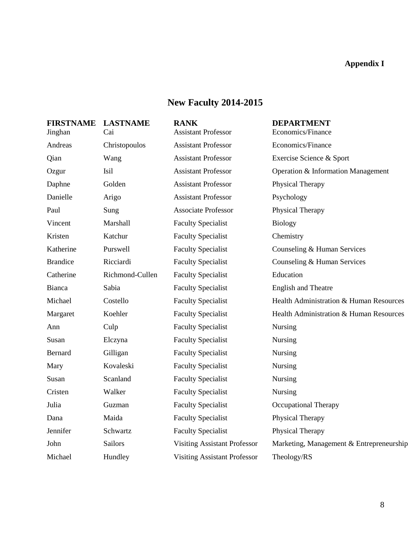#### **Appendix I**

## **New Faculty 2014-2015**

#### **FIRSTNAME LASTNAME RANK DEPARTMENT**

Michael Hundley Visiting Assistant Professor Theology/RS

Jinghan Cai Assistant Professor Economics/Finance Andreas Christopoulos Assistant Professor Economics/Finance Qian Wang Assistant Professor Exercise Science & Sport Ozgur Isil Assistant Professor Operation & Information Management Daphne Golden Assistant Professor Physical Therapy Danielle Arigo Assistant Professor Psychology Paul Sung Associate Professor Physical Therapy Vincent Marshall Faculty Specialist Biology Kristen Katchur Faculty Specialist Chemistry Katherine Purswell Faculty Specialist Counseling & Human Services Brandice Ricciardi Faculty Specialist Counseling & Human Services Catherine Richmond-Cullen Faculty Specialist Education Bianca Sabia Faculty Specialist English and Theatre Ann Culp Faculty Specialist Nursing Susan Elczyna Faculty Specialist Nursing Bernard Gilligan Faculty Specialist Nursing Mary Kovaleski Faculty Specialist Nursing Susan Scanland Faculty Specialist Nursing Cristen Walker Faculty Specialist Nursing Julia Guzman Faculty Specialist Occupational Therapy Dana Maida Faculty Specialist Physical Therapy Jennifer Schwartz Faculty Specialist Physical Therapy

Michael Costello Faculty Specialist Health Administration & Human Resources Margaret Koehler Faculty Specialist Health Administration & Human Resources John Sailors Visiting Assistant Professor Marketing, Management & Entrepreneurship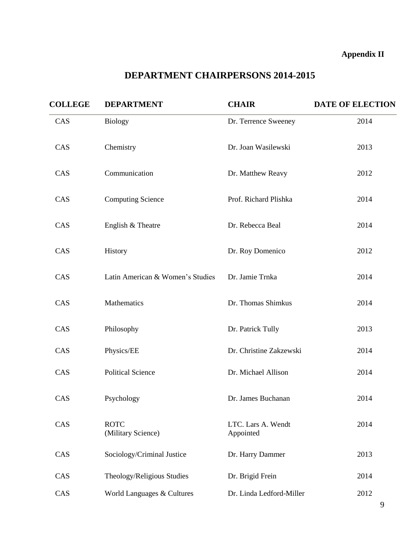## **Appendix II**

## **DEPARTMENT CHAIRPERSONS 2014-2015**

| <b>COLLEGE</b> | <b>DEPARTMENT</b>                 | <b>CHAIR</b>                    | <b>DATE OF ELECTION</b> |
|----------------|-----------------------------------|---------------------------------|-------------------------|
| CAS            | <b>Biology</b>                    | Dr. Terrence Sweeney            | 2014                    |
| CAS            | Chemistry                         | Dr. Joan Wasilewski             | 2013                    |
| CAS            | Communication                     | Dr. Matthew Reavy               | 2012                    |
| CAS            | <b>Computing Science</b>          | Prof. Richard Plishka           | 2014                    |
| CAS            | English & Theatre                 | Dr. Rebecca Beal                | 2014                    |
| CAS            | History                           | Dr. Roy Domenico                | 2012                    |
| CAS            | Latin American & Women's Studies  | Dr. Jamie Trnka                 | 2014                    |
| CAS            | Mathematics                       | Dr. Thomas Shimkus              | 2014                    |
| CAS            | Philosophy                        | Dr. Patrick Tully               | 2013                    |
| CAS            | Physics/EE                        | Dr. Christine Zakzewski         | 2014                    |
| CAS            | <b>Political Science</b>          | Dr. Michael Allison             | 2014                    |
| CAS            | Psychology                        | Dr. James Buchanan              | 2014                    |
| CAS            | <b>ROTC</b><br>(Military Science) | LTC. Lars A. Wendt<br>Appointed | 2014                    |
| CAS            | Sociology/Criminal Justice        | Dr. Harry Dammer                | 2013                    |
| CAS            | Theology/Religious Studies        | Dr. Brigid Frein                | 2014                    |
| CAS            | World Languages & Cultures        | Dr. Linda Ledford-Miller        | 2012                    |